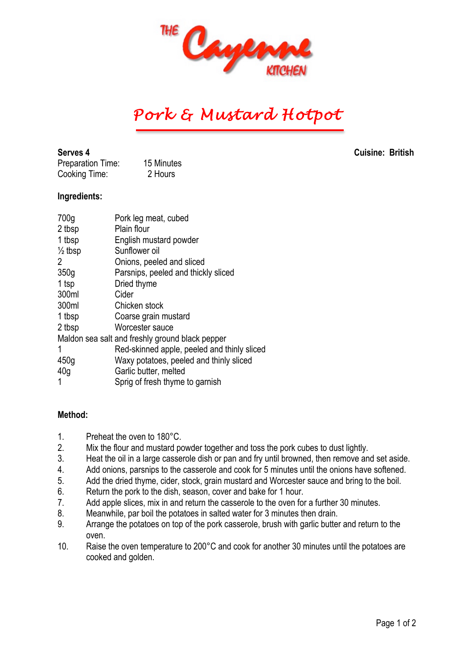

## *Pork & Mustard Hotpot*

Preparation Time: 15 Minutes Cooking Time: 2 Hours

**Serves 4 Cuisine: British**

## **Ingredients:**

| 700g               | Pork leg meat, cubed                            |
|--------------------|-------------------------------------------------|
| 2 tbsp             | Plain flour                                     |
| 1 tbsp             | English mustard powder                          |
| $\frac{1}{2}$ tbsp | Sunflower oil                                   |
| 2                  | Onions, peeled and sliced                       |
| 350g               | Parsnips, peeled and thickly sliced             |
| 1 tsp              | Dried thyme                                     |
| 300ml              | Cider                                           |
| 300ml              | Chicken stock                                   |
| 1 tbsp             | Coarse grain mustard                            |
| 2 tbsp             | Worcester sauce                                 |
|                    | Maldon sea salt and freshly ground black pepper |
| 1                  | Red-skinned apple, peeled and thinly sliced     |
| 450 <sub>g</sub>   | Waxy potatoes, peeled and thinly sliced         |
| 40 <sub>q</sub>    | Garlic butter, melted                           |
|                    | Sprig of fresh thyme to garnish                 |

## **Method:**

- 1. Preheat the oven to 180°C.
- 2. Mix the flour and mustard powder together and toss the pork cubes to dust lightly.
- 3. Heat the oil in a large casserole dish or pan and fry until browned, then remove and set aside.
- 4. Add onions, parsnips to the casserole and cook for 5 minutes until the onions have softened.
- 5. Add the dried thyme, cider, stock, grain mustard and Worcester sauce and bring to the boil.
- 6. Return the pork to the dish, season, cover and bake for 1 hour.
- 7. Add apple slices, mix in and return the casserole to the oven for a further 30 minutes.
- 8. Meanwhile, par boil the potatoes in salted water for 3 minutes then drain.
- 9. Arrange the potatoes on top of the pork casserole, brush with garlic butter and return to the oven.
- 10. Raise the oven temperature to 200°C and cook for another 30 minutes until the potatoes are cooked and golden.